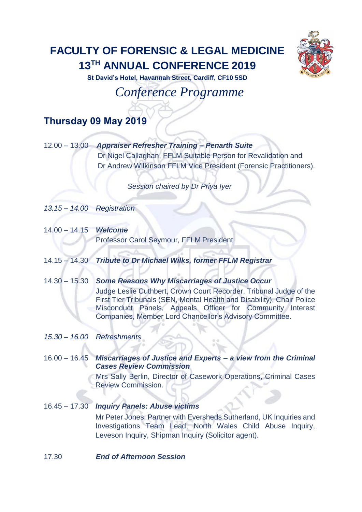## **FACULTY OF FORENSIC & LEGAL MEDICINE 13TH ANNUAL CONFERENCE 2019**



**St David's Hotel, Havannah Street, Cardiff, CF10 5SD**

*Conference Programme*

## **Thursday 09 May 2019**

|  | 12.00 - 13.00 Appraiser Refresher Training - Penarth Suite        |
|--|-------------------------------------------------------------------|
|  | Dr Nigel Callaghan, FFLM Suitable Person for Revalidation and     |
|  | Dr Andrew Wilkinson FFLM Vice President (Forensic Practitioners). |

*Session chaired by Dr Priya Iyer*

*13.15* – *14.00 Registration*

- 14.00 14.15 *Welcome* Professor Carol Seymour, FFLM President.
- 14.15 14.30 *Tribute to Dr Michael Wilks, former FFLM Registrar*
- 14.30 15.30 *Some Reasons Why Miscarriages of Justice Occur*  Judge Leslie Cuthbert, Crown Court Recorder, Tribunal Judge of the First Tier Tribunals (SEN, Mental Health and Disability), Chair Police Misconduct Panels, Appeals Officer for Community Interest Companies, Member Lord Chancellor's Advisory Committee.
- *15.30 – 16.00 Refreshments*
- 16.00 16.45 *Miscarriages of Justice and Experts – a view from the Criminal Cases Review Commission*

Mrs Sally Berlin, Director of Casework Operations, Criminal Cases Review Commission.

- 16.45 17.30 *Inquiry Panels: Abuse victims* Mr Peter Jones, Partner with Eversheds Sutherland, UK Inquiries and Investigations Team Lead, North Wales Child Abuse Inquiry, Leveson Inquiry, Shipman Inquiry (Solicitor agent).
- 17.30 *End of Afternoon Session*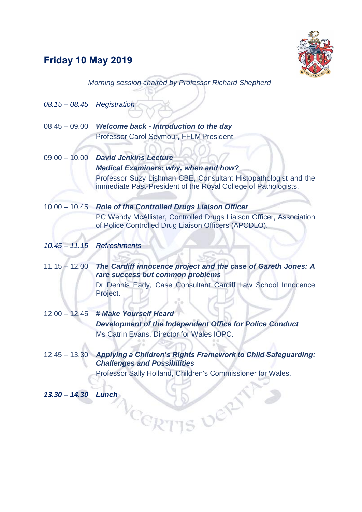## **Friday 10 May 2019**



*Morning session chaired by Professor Richard Shepherd*

| $08.15 - 08.45$ Registration |                                                                                                                                   |
|------------------------------|-----------------------------------------------------------------------------------------------------------------------------------|
| $08.45 - 09.00$              | Welcome back - Introduction to the day                                                                                            |
|                              | Professor Carol Seymour, FFLM President.                                                                                          |
|                              | 09.00 - 10.00 David Jenkins Lecture                                                                                               |
|                              | <b>Medical Examiners: why, when and how?</b>                                                                                      |
|                              | Professor Suzy Lishman CBE, Consultant Histopathologist and the<br>immediate Past-President of the Royal College of Pathologists. |
|                              | 10.00 - 10.45 Role of the Controlled Drugs Liaison Officer                                                                        |
|                              | PC Wendy McAllister, Controlled Drugs Liaison Officer, Association<br>of Police Controlled Drug Liaison Officers (APCDLO).        |
|                              | 10.45 - 11.15 Refreshments                                                                                                        |
| $11.15 - 12.00$              | The Cardiff innocence project and the case of Gareth Jones: A<br>rare success but common problems                                 |
|                              | Dr Dennis Eady, Case Consultant Cardiff Law School Innocence<br>Project.                                                          |
| $12.00 - 12.45$              | # Make Yourself Heard                                                                                                             |
|                              | <b>Development of the Independent Office for Police Conduct</b>                                                                   |
|                              | Ms Catrin Evans, Director for Wales IOPC.                                                                                         |
|                              |                                                                                                                                   |
| $12.45 - 13.30$              | Applying a Children's Rights Framework to Child Safeguarding:<br><b>Challenges and Possibilities</b>                              |
|                              | Professor Sally Holland, Children's Commissioner for Wales.                                                                       |
| $13.30 - 14.30$              | Lunch                                                                                                                             |
|                              |                                                                                                                                   |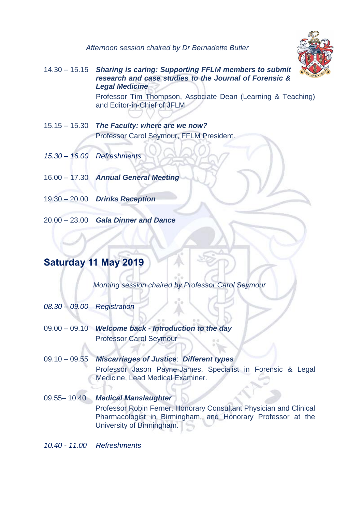*Afternoon session chaired by Dr Bernadette Butler*



14.30 – 15.15 *Sharing is caring: Supporting FFLM members to submit research and case studies to the Journal of Forensic & Legal Medicine* 

> Professor Tim Thompson, Associate Dean (Learning & Teaching) and Editor-in-Chief of JFLM

- 15.15 15.30 *The Faculty: where are we now?* Professor Carol Seymour, FFLM President.
- *15.30 – 16.00 Refreshments*
- 16.00 17.30 *Annual General Meeting*
- 19.30 20.00 *Drinks Reception*
- 20.00 23.00 *Gala Dinner and Dance*

## **Saturday 11 May 2019**

*Morning session chaired by Professor Carol Seymour*

- *08.30 09.00 Registration*
- 09.00 09.10 *Welcome back - Introduction to the day* Professor Carol Seymour
- 09.10 09.55 *Miscarriages of Justice*: *Different types*  Professor Jason Payne-James, Specialist in Forensic & Legal Medicine, Lead Medical Examiner.
- 09.55– 10.40 *Medical Manslaughter* Professor Robin Ferner, Honorary Consultant Physician and Clinical Pharmacologist in Birmingham, and Honorary Professor at the University of Birmingham.

*10.40 - 11.00 Refreshments*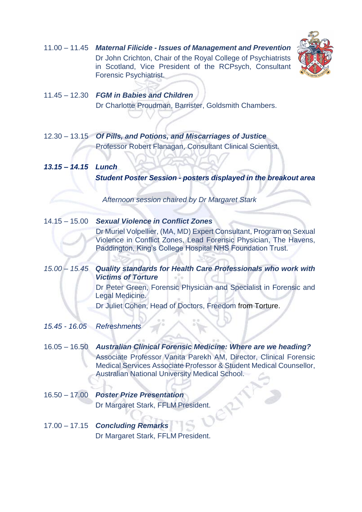11.00 – 11.45 *Maternal Filicide - Issues of Management and Prevention* Dr John Crichton, Chair of the Royal College of Psychiatrists in Scotland, Vice President of the RCPsych, Consultant Forensic Psychiatrist.



- 11.45 12.30 *FGM in Babies and Children* Dr Charlotte Proudman, Barrister, Goldsmith Chambers.
- 12.30 13.15 *Of Pills, and Potions, and Miscarriages of Justice* Professor Robert Flanagan, Consultant Clinical Scientist.
- *13.15 – 14.15 Lunch Student Poster Session - posters displayed in the breakout area*

*Afternoon session chaired by Dr Margaret Stark*

- 14.15 15.00 *Sexual Violence in Conflict Zones* Dr Muriel Volpellier, (MA, MD) Expert Consultant, Program on Sexual Violence in Conflict Zones, Lead Forensic Physician, The Havens, Paddington, King's College Hospital NHS Foundation Trust.
- *15.00 – 15.45 Quality standards for Health Care Professionals who work with Victims of Torture*  Dr Peter Green, Forensic Physician and Specialist in Forensic and

Legal Medicine. Dr Juliet Cohen, Head of Doctors, Freedom from Torture.

- *15.45 - 16.05 Refreshments*
- 16.05 16.50 *Australian Clinical Forensic Medicine: Where are we heading?* Associate Professor Vanita Parekh AM, Director, Clinical Forensic Medical Services Associate Professor & Student Medical Counsellor, Australian National University Medical School.
- 16.50 17.00 *Poster Prize Presentation*  Dr Margaret Stark, FFLM President.
- 17.00 17.15 *Concluding Remarks* Dr Margaret Stark, FFLM President.